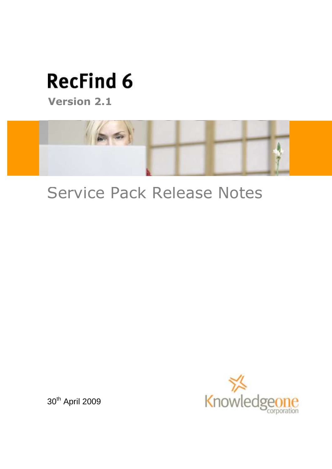# **RecFind 6**

**Version 2.1**



# Service Pack Release Notes



30<sup>th</sup> April 2009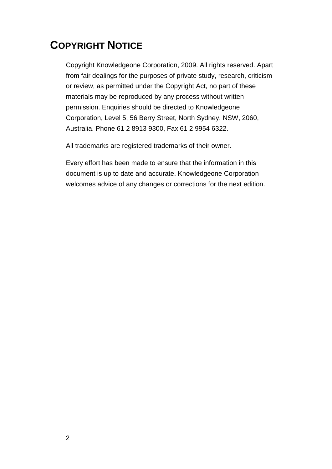# **COPYRIGHT NOTICE**

Copyright Knowledgeone Corporation, 2009. All rights reserved. Apart from fair dealings for the purposes of private study, research, criticism or review, as permitted under the Copyright Act, no part of these materials may be reproduced by any process without written permission. Enquiries should be directed to Knowledgeone Corporation, Level 5, 56 Berry Street, North Sydney, NSW, 2060, Australia. Phone 61 2 8913 9300, Fax 61 2 9954 6322.

All trademarks are registered trademarks of their owner.

Every effort has been made to ensure that the information in this document is up to date and accurate. Knowledgeone Corporation welcomes advice of any changes or corrections for the next edition.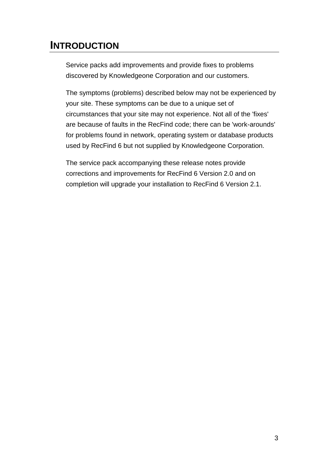# **INTRODUCTION**

Service packs add improvements and provide fixes to problems discovered by Knowledgeone Corporation and our customers.

The symptoms (problems) described below may not be experienced by your site. These symptoms can be due to a unique set of circumstances that your site may not experience. Not all of the 'fixes' are because of faults in the RecFind code; there can be 'work-arounds' for problems found in network, operating system or database products used by RecFind 6 but not supplied by Knowledgeone Corporation.

The service pack accompanying these release notes provide corrections and improvements for RecFind 6 Version 2.0 and on completion will upgrade your installation to RecFind 6 Version 2.1.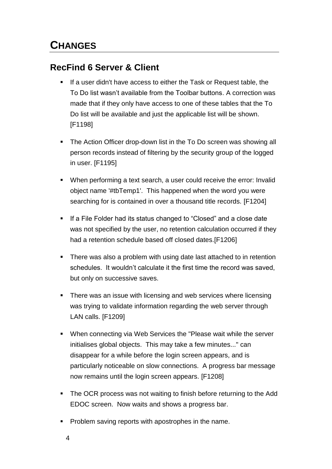#### **RecFind 6 Server & Client**

- If a user didn't have access to either the Task or Request table, the To Do list wasn"t available from the Toolbar buttons. A correction was made that if they only have access to one of these tables that the To Do list will be available and just the applicable list will be shown. [F1198]
- **The Action Officer drop-down list in the To Do screen was showing all** person records instead of filtering by the security group of the logged in user. [F1195]
- When performing a text search, a user could receive the error: Invalid object name '#tbTemp1'. This happened when the word you were searching for is contained in over a thousand title records. [F1204]
- **If a File Folder had its status changed to "Closed" and a close date** was not specified by the user, no retention calculation occurred if they had a retention schedule based off closed dates.[F1206]
- There was also a problem with using date last attached to in retention schedules. It wouldn"t calculate it the first time the record was saved, but only on successive saves.
- There was an issue with licensing and web services where licensing was trying to validate information regarding the web server through LAN calls. [F1209]
- When connecting via Web Services the "Please wait while the server initialises global objects. This may take a few minutes..." can disappear for a while before the login screen appears, and is particularly noticeable on slow connections. A progress bar message now remains until the login screen appears. [F1208]
- The OCR process was not waiting to finish before returning to the Add EDOC screen. Now waits and shows a progress bar.
- **Problem saving reports with apostrophes in the name.**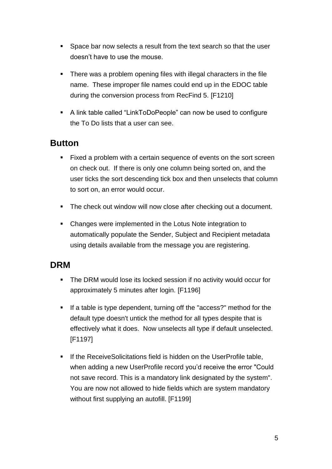- Space bar now selects a result from the text search so that the user doesn"t have to use the mouse.
- There was a problem opening files with illegal characters in the file name. These improper file names could end up in the EDOC table during the conversion process from RecFind 5. [F1210]
- A link table called "LinkToDoPeople" can now be used to configure the To Do lists that a user can see.

#### **Button**

- **Fixed a problem with a certain sequence of events on the sort screen** on check out. If there is only one column being sorted on, and the user ticks the sort descending tick box and then unselects that column to sort on, an error would occur.
- **The check out window will now close after checking out a document.**
- Changes were implemented in the Lotus Note integration to automatically populate the Sender, Subject and Recipient metadata using details available from the message you are registering.

#### **DRM**

- The DRM would lose its locked session if no activity would occur for approximately 5 minutes after login. [F1196]
- If a table is type dependent, turning off the "access?" method for the default type doesn't untick the method for all types despite that is effectively what it does. Now unselects all type if default unselected. [F1197]
- If the ReceiveSolicitations field is hidden on the UserProfile table, when adding a new UserProfile record you"d receive the error "Could not save record. This is a mandatory link designated by the system". You are now not allowed to hide fields which are system mandatory without first supplying an autofill. [F1199]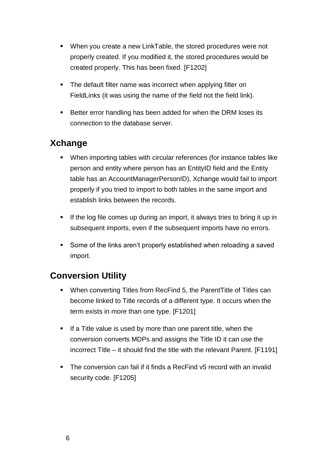- When you create a new LinkTable, the stored procedures were not properly created. If you modified it, the stored procedures would be created properly. This has been fixed. [F1202]
- The default filter name was incorrect when applying filter on FieldLinks (it was using the name of the field not the field link).
- Better error handling has been added for when the DRM loses its connection to the database server.

#### **Xchange**

- When importing tables with circular references (for instance tables like person and entity where person has an EntityID field and the Entity table has an AccountManagerPersonID), Xchange would fail to import properly if you tried to import to both tables in the same import and establish links between the records.
- If the log file comes up during an import, it always tries to bring it up in subsequent imports, even if the subsequent imports have no errors.
- Some of the links aren"t properly established when reloading a saved import.

#### **Conversion Utility**

- When converting Titles from RecFind 5, the ParentTitle of Titles can become linked to Title records of a different type. It occurs when the term exists in more than one type. [F1201]
- **If a Title value is used by more than one parent title, when the** conversion converts MDPs and assigns the Title ID it can use the incorrect Title – it should find the title with the relevant Parent. [F1191]
- The conversion can fail if it finds a RecFind v5 record with an invalid security code. [F1205]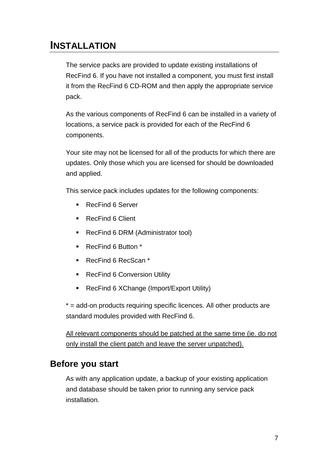## **INSTALLATION**

The service packs are provided to update existing installations of RecFind 6. If you have not installed a component, you must first install it from the RecFind 6 CD-ROM and then apply the appropriate service pack.

As the various components of RecFind 6 can be installed in a variety of locations, a service pack is provided for each of the RecFind 6 components.

Your site may not be licensed for all of the products for which there are updates. Only those which you are licensed for should be downloaded and applied.

This service pack includes updates for the following components:

- RecFind 6 Server
- RecFind 6 Client
- RecFind 6 DRM (Administrator tool)
- RecFind 6 Button \*
- RecFind 6 RecScan \*
- **RecFind 6 Conversion Utility**
- RecFind 6 XChange (Import/Export Utility)

\* = add-on products requiring specific licences. All other products are standard modules provided with RecFind 6.

All relevant components should be patched at the same time (ie. do not only install the client patch and leave the server unpatched).

#### **Before you start**

As with any application update, a backup of your existing application and database should be taken prior to running any service pack installation.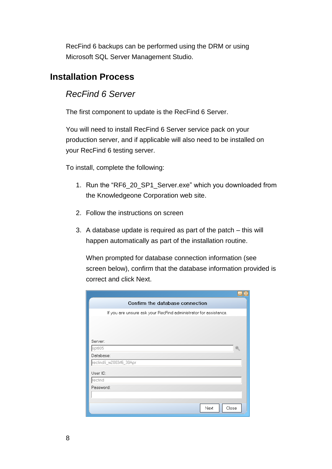RecFind 6 backups can be performed using the DRM or using Microsoft SQL Server Management Studio.

#### **Installation Process**

#### *RecFind 6 Server*

The first component to update is the RecFind 6 Server.

You will need to install RecFind 6 Server service pack on your production server, and if applicable will also need to be installed on your RecFind 6 testing server.

To install, complete the following:

- 1. Run the "RF6\_20\_SP1\_Server.exe" which you downloaded from the Knowledgeone Corporation web site.
- 2. Follow the instructions on screen
- 3. A database update is required as part of the patch this will happen automatically as part of the installation routine.

When prompted for database connection information (see screen below), confirm that the database information provided is correct and click Next.

|                                                                  | $\Box$ $\boxtimes$ |
|------------------------------------------------------------------|--------------------|
| Confirm the database connection                                  |                    |
| If you are unsure ask your RecFind administrator for assistance. |                    |
|                                                                  |                    |
|                                                                  |                    |
|                                                                  |                    |
| Server:                                                          |                    |
| spt005                                                           |                    |
| Database:                                                        |                    |
| recfind6_w2003rf6_30Apr                                          |                    |
| User ID:                                                         |                    |
| recfind                                                          |                    |
| Password:                                                        |                    |
|                                                                  |                    |
|                                                                  |                    |
| Next                                                             | Close              |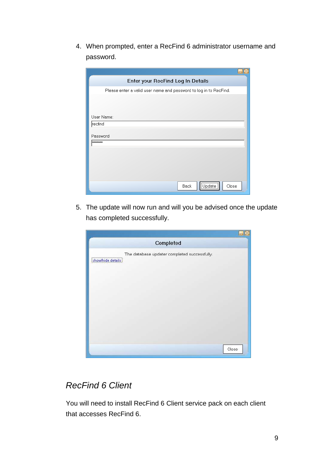4. When prompted, enter a RecFind 6 administrator username and password.

| Enter your RecFind Log In Details                                 |  |
|-------------------------------------------------------------------|--|
| Please enter a valid user name and password to log in to RecFind. |  |
|                                                                   |  |
|                                                                   |  |
| User Name:                                                        |  |
| recfind                                                           |  |
|                                                                   |  |
| Password<br><b>Molololololck</b>                                  |  |
|                                                                   |  |
|                                                                   |  |
|                                                                   |  |
|                                                                   |  |
|                                                                   |  |
| Update<br>Back<br>Close                                           |  |
|                                                                   |  |

5. The update will now run and will you be advised once the update has completed successfully.

|                                                                 | Completed                                    |       |
|-----------------------------------------------------------------|----------------------------------------------|-------|
| procession in continuing in the continuing<br>show/hide details | The database updater completed successfully. |       |
|                                                                 |                                              |       |
|                                                                 |                                              |       |
|                                                                 |                                              | Close |

#### *RecFind 6 Client*

You will need to install RecFind 6 Client service pack on each client that accesses RecFind 6.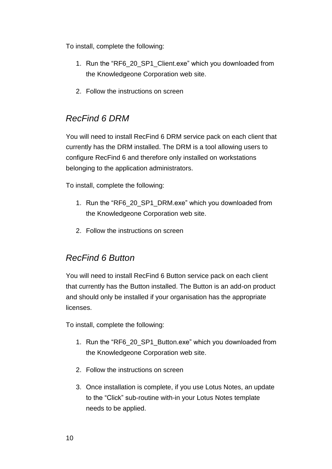To install, complete the following:

- 1. Run the "RF6\_20\_SP1\_Client.exe" which you downloaded from the Knowledgeone Corporation web site.
- 2. Follow the instructions on screen

#### *RecFind 6 DRM*

You will need to install RecFind 6 DRM service pack on each client that currently has the DRM installed. The DRM is a tool allowing users to configure RecFind 6 and therefore only installed on workstations belonging to the application administrators.

To install, complete the following:

- 1. Run the "RF6\_20\_SP1\_DRM.exe" which you downloaded from the Knowledgeone Corporation web site.
- 2. Follow the instructions on screen

#### *RecFind 6 Button*

You will need to install RecFind 6 Button service pack on each client that currently has the Button installed. The Button is an add-on product and should only be installed if your organisation has the appropriate licenses.

To install, complete the following:

- 1. Run the "RF6\_20\_SP1\_Button.exe" which you downloaded from the Knowledgeone Corporation web site.
- 2. Follow the instructions on screen
- 3. Once installation is complete, if you use Lotus Notes, an update to the "Click" sub-routine with-in your Lotus Notes template needs to be applied.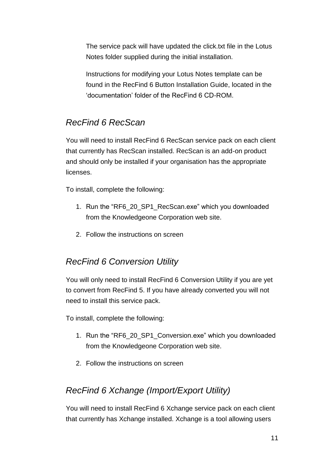The service pack will have updated the click.txt file in the Lotus Notes folder supplied during the initial installation.

Instructions for modifying your Lotus Notes template can be found in the RecFind 6 Button Installation Guide, located in the "documentation" folder of the RecFind 6 CD-ROM.

### *RecFind 6 RecScan*

You will need to install RecFind 6 RecScan service pack on each client that currently has RecScan installed. RecScan is an add-on product and should only be installed if your organisation has the appropriate licenses.

To install, complete the following:

- 1. Run the "RF6\_20\_SP1\_RecScan.exe" which you downloaded from the Knowledgeone Corporation web site.
- 2. Follow the instructions on screen

#### *RecFind 6 Conversion Utility*

You will only need to install RecFind 6 Conversion Utility if you are yet to convert from RecFind 5. If you have already converted you will not need to install this service pack.

To install, complete the following:

- 1. Run the "RF6\_20\_SP1\_Conversion.exe" which you downloaded from the Knowledgeone Corporation web site.
- 2. Follow the instructions on screen

#### *RecFind 6 Xchange (Import/Export Utility)*

You will need to install RecFind 6 Xchange service pack on each client that currently has Xchange installed. Xchange is a tool allowing users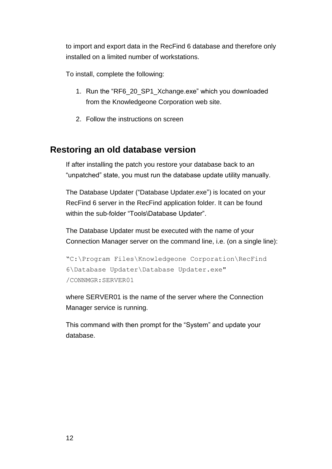to import and export data in the RecFind 6 database and therefore only installed on a limited number of workstations.

To install, complete the following:

- 1. Run the "RF6\_20\_SP1\_Xchange.exe" which you downloaded from the Knowledgeone Corporation web site.
- 2. Follow the instructions on screen

#### **Restoring an old database version**

If after installing the patch you restore your database back to an "unpatched" state, you must run the database update utility manually.

The Database Updater ("Database Updater.exe") is located on your RecFind 6 server in the RecFind application folder. It can be found within the sub-folder "Tools\Database Updater".

The Database Updater must be executed with the name of your Connection Manager server on the command line, i.e. (on a single line):

```
"C:\Program Files\Knowledgeone Corporation\RecFind
6\Database Updater\Database Updater.exe" 
/CONNMGR:SERVER01
```
where SERVER01 is the name of the server where the Connection Manager service is running.

This command with then prompt for the "System" and update your database.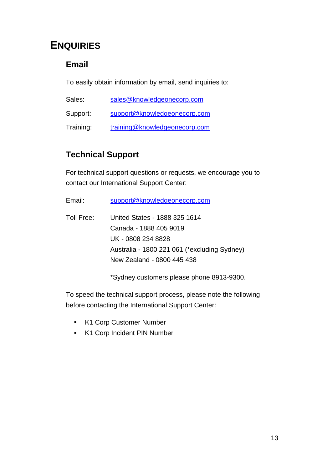# **ENQUIRIES**

#### **Email**

To easily obtain information by email, send inquiries to:

| Sales:    | sales@knowledgeonecorp.com    |
|-----------|-------------------------------|
| Support:  | support@knowledgeonecorp.com  |
| Training: | training@knowledgeonecorp.com |

#### **Technical Support**

For technical support questions or requests, we encourage you to contact our International Support Center:

| Email:     | support@knowledgeonecorp.com                 |
|------------|----------------------------------------------|
| Toll Free: | United States - 1888 325 1614                |
|            | Canada - 1888 405 9019                       |
|            | UK - 0808 234 8828                           |
|            | Australia - 1800 221 061 (*excluding Sydney) |
|            | New Zealand - 0800 445 438                   |
|            |                                              |

\*Sydney customers please phone 8913-9300.

To speed the technical support process, please note the following before contacting the International Support Center:

- K1 Corp Customer Number
- K1 Corp Incident PIN Number